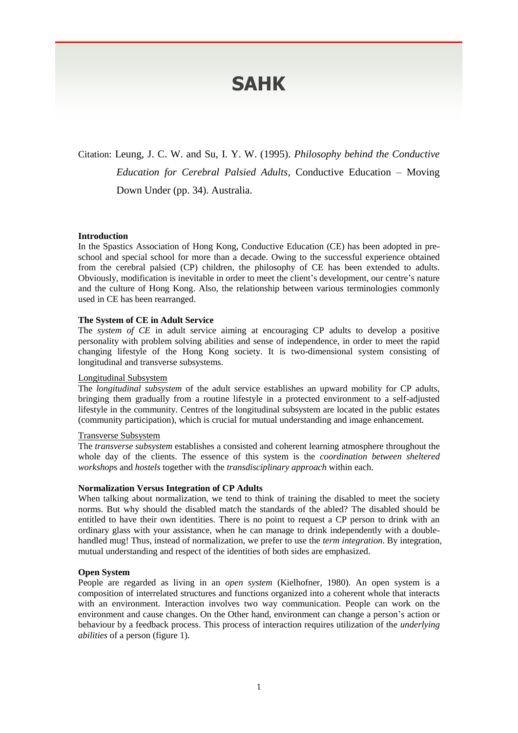# **SAHK**

Citation: Leung, J. C. W. and Su, I. Y. W. (1995). *Philosophy behind the Conductive Education for Cerebral Palsied Adults,* Conductive Education – Moving Down Under (pp. 34). Australia.

### **Introduction**

In the Spastics Association of Hong Kong, Conductive Education (CE) has been adopted in preschool and special school for more than a decade. Owing to the successful experience obtained from the cerebral palsied (CP) children, the philosophy of CE has been extended to adults. Obviously, modification is inevitable in order to meet the client's development, our centre's nature and the culture of Hong Kong. Also, the relationship between various terminologies commonly used in CE has been rearranged.

## **The System of CE in Adult Service**

The *system of CE* in adult service aiming at encouraging CP adults to develop a positive personality with problem solving abilities and sense of independence, in order to meet the rapid changing lifestyle of the Hong Kong society. It is two-dimensional system consisting of longitudinal and transverse subsystems.

### Longitudinal Subsystem

The *longitudinal subsystem* of the adult service establishes an upward mobility for CP adults, bringing them gradually from a routine lifestyle in a protected environment to a self-adjusted lifestyle in the community. Centres of the longitudinal subsystem are located in the public estates (community participation), which is crucial for mutual understanding and image enhancement.

# Transverse Subsystem

The *transverse subsystem* establishes a consisted and coherent learning atmosphere throughout the whole day of the clients. The essence of this system is the *coordination between sheltered workshop*s and *hostels* together with the *transdisciplinary approach* within each.

### **Normalization Versus Integration of CP Adults**

When talking about normalization, we tend to think of training the disabled to meet the society norms. But why should the disabled match the standards of the abled? The disabled should be entitled to have their own identities. There is no point to request a CP person to drink with an ordinary glass with your assistance, when he can manage to drink independently with a doublehandled mug! Thus, instead of normalization, we prefer to use the *term integration*. By integration, mutual understanding and respect of the identities of both sides are emphasized.

### **Open System**

People are regarded as living in an *open system* (Kielhofner, 1980). An open system is a composition of interrelated structures and functions organized into a coherent whole that interacts with an environment. Interaction involves two way communication. People can work on the environment and cause changes. On the Other hand, environment can change a person's action or behaviour by a feedback process. This process of interaction requires utilization of the *underlying abilities* of a person (figure 1).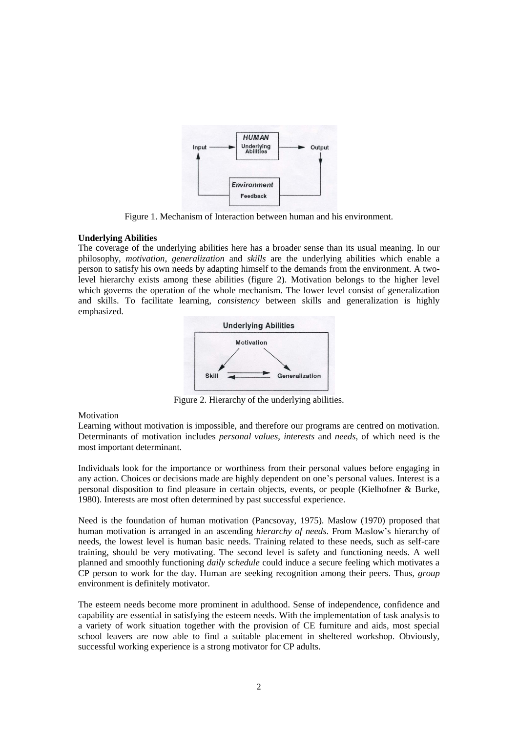

Figure 1. Mechanism of Interaction between human and his environment.

# **Underlying Abilities**

The coverage of the underlying abilities here has a broader sense than its usual meaning. In our philosophy, *motivation*, *generalization* and *skills* are the underlying abilities which enable a person to satisfy his own needs by adapting himself to the demands from the environment. A twolevel hierarchy exists among these abilities (figure 2). Motivation belongs to the higher level which governs the operation of the whole mechanism. The lower level consist of generalization and skills. To facilitate learning, *consistency* between skills and generalization is highly emphasized.



Figure 2. Hierarchy of the underlying abilities.

# Motivation

Learning without motivation is impossible, and therefore our programs are centred on motivation. Determinants of motivation includes *personal values*, *interests* and *needs*, of which need is the most important determinant.

Individuals look for the importance or worthiness from their personal values before engaging in any action. Choices or decisions made are highly dependent on one's personal values. Interest is a personal disposition to find pleasure in certain objects, events, or people (Kielhofner & Burke, 1980). Interests are most often determined by past successful experience.

Need is the foundation of human motivation (Pancsovay, 1975). Maslow (1970) proposed that human motivation is arranged in an ascending *hierarchy of needs*. From Maslow's hierarchy of needs, the lowest level is human basic needs. Training related to these needs, such as self-care training, should be very motivating. The second level is safety and functioning needs. A well planned and smoothly functioning *daily schedule* could induce a secure feeling which motivates a CP person to work for the day. Human are seeking recognition among their peers. Thus, *group* environment is definitely motivator.

The esteem needs become more prominent in adulthood. Sense of independence, confidence and capability are essential in satisfying the esteem needs. With the implementation of task analysis to a variety of work situation together with the provision of CE furniture and aids, most special school leavers are now able to find a suitable placement in sheltered workshop. Obviously, successful working experience is a strong motivator for CP adults.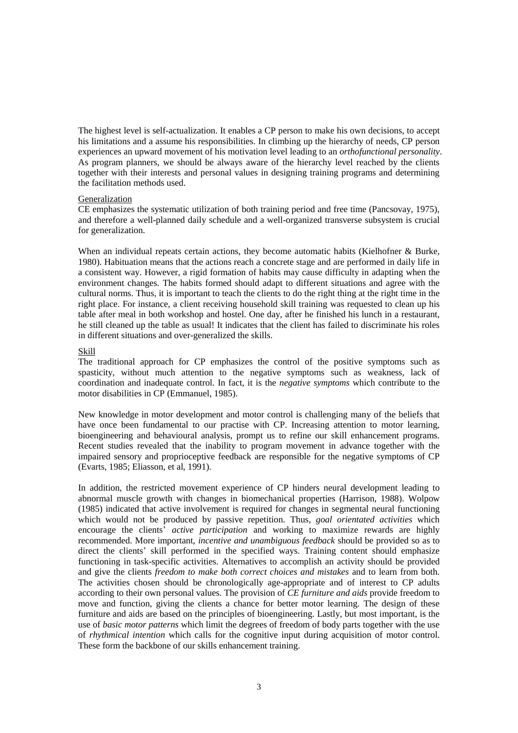The highest level is self-actualization. It enables a CP person to make his own decisions, to accept his limitations and a assume his responsibilities. In climbing up the hierarchy of needs, CP person experiences an upward movement of his motivation level leading to an *orthofunctional personality*. As program planners, we should be always aware of the hierarchy level reached by the clients together with their interests and personal values in designing training programs and determining the facilitation methods used.

## Generalization

CE emphasizes the systematic utilization of both training period and free time (Pancsovay, 1975), and therefore a well-planned daily schedule and a well-organized transverse subsystem is crucial for generalization.

When an individual repeats certain actions, they become automatic habits (Kielhofner & Burke, 1980). Habituation means that the actions reach a concrete stage and are performed in daily life in a consistent way. However, a rigid formation of habits may cause difficulty in adapting when the environment changes. The habits formed should adapt to different situations and agree with the cultural norms. Thus, it is important to teach the clients to do the right thing at the right time in the right place. For instance, a client receiving household skill training was requested to clean up his table after meal in both workshop and hostel. One day, after he finished his lunch in a restaurant, he still cleaned up the table as usual! It indicates that the client has failed to discriminate his roles in different situations and over-generalized the skills.

## Skill

The traditional approach for CP emphasizes the control of the positive symptoms such as spasticity, without much attention to the negative symptoms such as weakness, lack of coordination and inadequate control. In fact, it is the *negative symptoms* which contribute to the motor disabilities in CP (Emmanuel, 1985).

New knowledge in motor development and motor control is challenging many of the beliefs that have once been fundamental to our practise with CP. Increasing attention to motor learning, bioengineering and behavioural analysis, prompt us to refine our skill enhancement programs. Recent studies revealed that the inability to program movement in advance together with the impaired sensory and proprioceptive feedback are responsible for the negative symptoms of CP (Evarts, 1985; Eliasson, et al, 1991).

In addition, the restricted movement experience of CP hinders neural development leading to abnormal muscle growth with changes in biomechanical properties (Harrison, 1988). Wolpow (1985) indicated that active involvement is required for changes in segmental neural functioning which would not be produced by passive repetition. Thus, *goal orientated activities* which encourage the clients' *active participation* and working to maximize rewards are highly recommended. More important, *incentive and unambiguous feedback* should be provided so as to direct the clients' skill performed in the specified ways. Training content should emphasize functioning in task-specific activities. Alternatives to accomplish an activity should be provided and give the clients *freedom to make both correct choices and mistakes* and to learn from both. The activities chosen should be chronologically age-appropriate and of interest to CP adults according to their own personal values. The provision of *CE furniture and aids* provide freedom to move and function, giving the clients a chance for better motor learning. The design of these furniture and aids are based on the principles of bioengineering. Lastly, but most important, is the use of *basic motor patterns* which limit the degrees of freedom of body parts together with the use of *rhythmical intention* which calls for the cognitive input during acquisition of motor control. These form the backbone of our skills enhancement training.